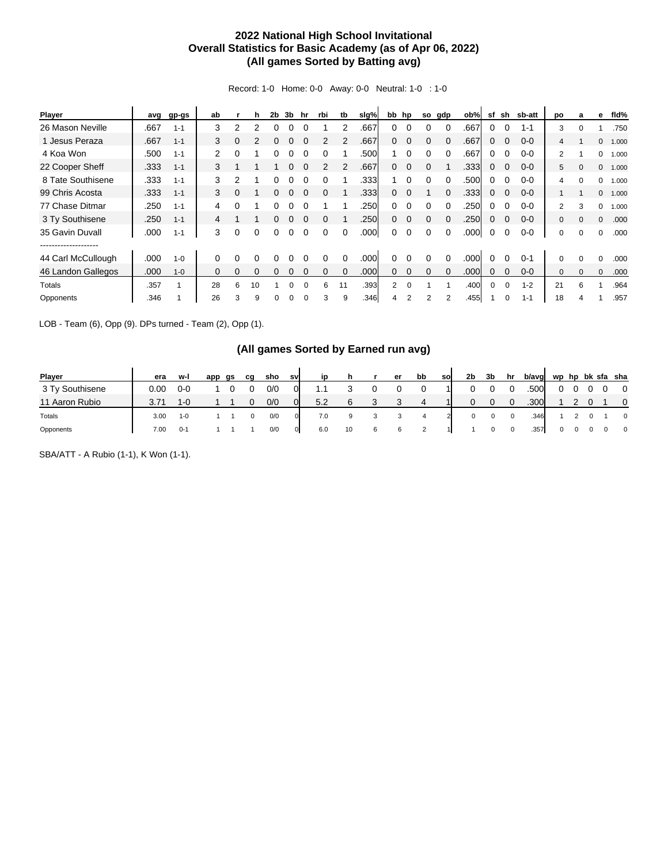## **2022 National High School Invitational Overall Statistics for Basic Academy (as of Apr 06, 2022) (All games Sorted by Batting avg)**

Record: 1-0 Home: 0-0 Away: 0-0 Neutral: 1-0 : 1-0

| Player               | avg  | gp-gs   | ab             |   | h        | 2b       | 3b | hr       | rbi      | tb | slg% |   | bb hp    | so       | gdp      | ob%  | sf | sh       | sb-att  | po           | a        | е            | fid%  |
|----------------------|------|---------|----------------|---|----------|----------|----|----------|----------|----|------|---|----------|----------|----------|------|----|----------|---------|--------------|----------|--------------|-------|
| 26 Mason Neville     | .667 | $1 - 1$ | 3              | 2 | 2        | 0        | 0  | $\Omega$ |          | 2  | .667 | 0 | $\Omega$ | 0        | $\Omega$ | .667 | 0  |          | $1 - 1$ | 3            | $\Omega$ |              | .750  |
| 1 Jesus Peraza       | .667 | $1 - 1$ | 3              | 0 |          |          |    |          |          |    | .667 | 0 |          | 0        |          | .667 | 0  |          | $0 - 0$ | 4            |          | $\mathbf{0}$ | 1.000 |
| 4 Koa Won            | .500 | $1 - 1$ | $\overline{2}$ | 0 |          |          |    |          |          |    | .500 |   | $\Omega$ | 0        | $\Omega$ | .667 | 0  |          | $0 - 0$ | 2            |          | $\Omega$     | 1.000 |
| 22 Cooper Sheff      | .333 | $1 - 1$ | 3              |   |          |          |    |          | 2        |    | .667 | 0 | $\Omega$ | 0        |          | .333 | 0  |          | $0 - 0$ | 5            |          | $\Omega$     | 1.000 |
| 8 Tate Southisene    | .333 | $1 - 1$ | 3              | 2 |          | 0        | 0  | $\Omega$ | $\Omega$ |    | .333 |   | $\Omega$ | 0        | $\Omega$ | .500 | 0  | $\Omega$ | $0 - 0$ | 4            | $\Omega$ | $\Omega$     | 1.000 |
| 99 Chris Acosta      | .333 | $1 - 1$ | 3              | 0 |          | 0        | 0  |          | $\Omega$ |    | .333 | 0 | $\Omega$ |          | $\Omega$ | .333 | 0  |          | $0 - 0$ |              |          | $\Omega$     | 1.000 |
| 77 Chase Ditmar      | .250 | $1 - 1$ | 4              | 0 |          |          | 0  | - 0      |          |    | .250 | 0 | $\Omega$ | 0        | $\Omega$ | .250 | 0  |          | $0 - 0$ | 2            | 3        | 0            | 1.000 |
| 3 Ty Southisene      | .250 | $1 - 1$ | 4              |   |          |          |    |          |          |    | .250 | 0 | $\Omega$ | 0        |          | .250 | 0  |          | $0 - 0$ | $\mathbf{0}$ | $\Omega$ | $\Omega$     | .000  |
| 35 Gavin Duvall      | .000 | $1 - 1$ | 3              | 0 | 0        | 0        | 0  | $\Omega$ | $\Omega$ |    | .000 | 0 | $\Omega$ | 0        | $\Omega$ | .000 | 0  |          | $0 - 0$ | $\Omega$     | $\Omega$ | $\Omega$     | .000  |
| -------------------- |      |         |                |   |          |          |    |          |          |    |      |   |          |          |          |      |    |          |         |              |          |              |       |
| 44 Carl McCullough   | .000 | $1 - 0$ | 0              | 0 |          |          |    |          |          |    | .000 | 0 |          |          |          | .000 | ი  |          | $0 - 1$ | 0            | $\Omega$ | 0            | .000  |
| 46 Landon Gallegos   | .000 | $1 - 0$ | $\Omega$       | 0 | $\Omega$ | O.       |    |          | $\Omega$ |    | .000 | 0 | 0        | $\Omega$ | $\Omega$ | .000 | 0  | $\Omega$ | $0 - 0$ | $\mathbf{0}$ | $\Omega$ | $\mathbf{0}$ | .000  |
| Totals               | .357 |         | 28             | 6 | 10       |          | 0  |          | 6        | 11 | .393 | 2 | $\Omega$ |          |          | .400 | 0  | $\Omega$ | $1 - 2$ | 21           | 6        |              | .964  |
| Opponents            | .346 |         | 26             | 3 | 9        | $\Omega$ | 0  |          | 3        | 9  | .346 | 4 | 2        | 2        |          | .455 |    | $\Omega$ | $1 - 1$ | 18           | Δ        |              | .957  |

LOB - Team (6), Opp (9). DPs turned - Team (2), Opp (1).

## **(All games Sorted by Earned run avg)**

| Player          | era  | w-l     | app | gs | ca | sho | sv | ip  |    |        | er | bb             | sol | 2b | 3 <sub>b</sub> | hr          | b/avg | wp hp bk sfa sha |  |             |
|-----------------|------|---------|-----|----|----|-----|----|-----|----|--------|----|----------------|-----|----|----------------|-------------|-------|------------------|--|-------------|
| 3 Ty Southisene | 0.00 | $0 - 0$ |     |    |    | 0/0 |    |     |    |        |    |                |     |    |                | $\Omega$    | .500  | 0                |  | - 0         |
| 11 Aaron Rubio  |      | 1-0     |     |    |    | 0/0 | 0l | 5.2 |    | ◠<br>J |    | $\overline{a}$ |     | 0  | 0              | $\mathbf 0$ | .300  |                  |  | $\Omega$    |
| Totals          | 3.00 | $1 - 0$ |     |    |    | 0/0 |    | 7.0 | 9  |        |    |                |     |    |                | $\mathbf 0$ | .346  |                  |  |             |
| Opponents       | 7.00 | $0 - 1$ |     |    |    | 0/0 |    | 6.0 | 10 | 6      |    |                |     |    |                | $\mathbf 0$ | .357  | 0                |  | $\mathbf 0$ |

SBA/ATT - A Rubio (1-1), K Won (1-1).